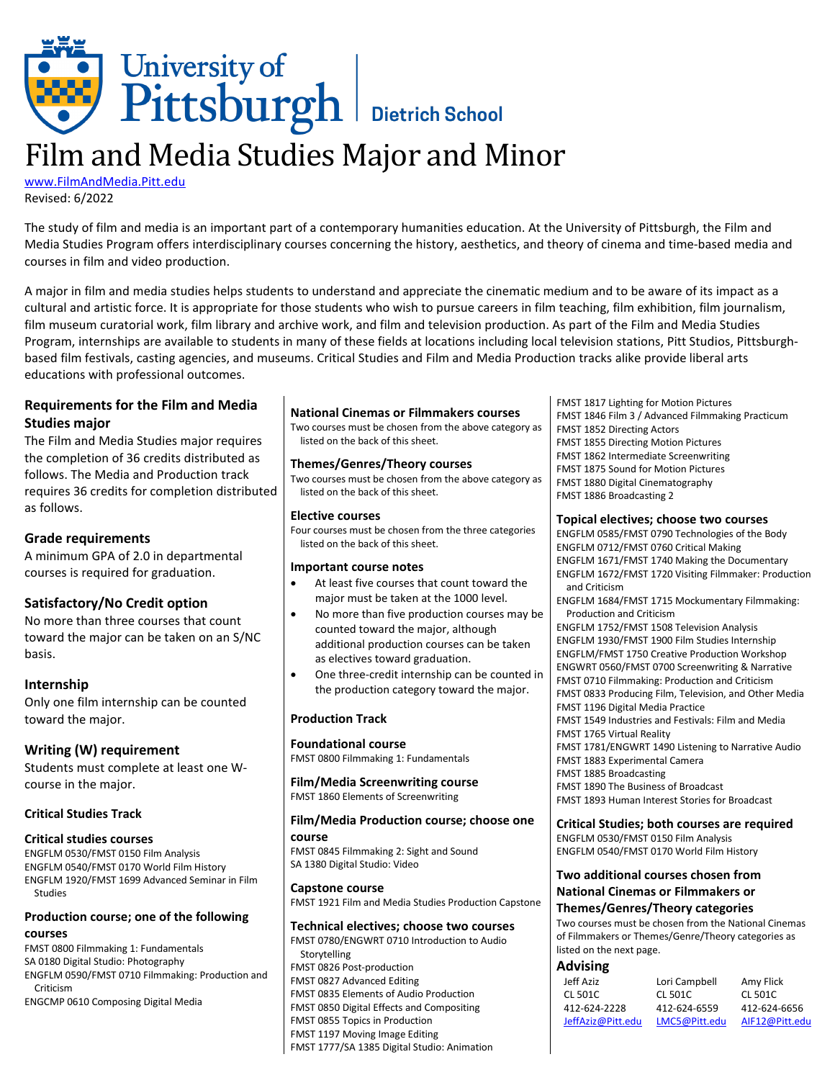

# Film and Media Studies Major and Minor

[www.FilmAndMedia.Pitt.edu](http://www.filmandmedia.pitt.edu/) Revised: 6/2022

The study of film and media is an important part of a contemporary humanities education. At the University of Pittsburgh, the Film and Media Studies Program offers interdisciplinary courses concerning the history, aesthetics, and theory of cinema and time-based media and courses in film and video production.

A major in film and media studies helps students to understand and appreciate the cinematic medium and to be aware of its impact as a cultural and artistic force. It is appropriate for those students who wish to pursue careers in film teaching, film exhibition, film journalism, film museum curatorial work, film library and archive work, and film and television production. As part of the Film and Media Studies Program, internships are available to students in many of these fields at locations including local television stations, Pitt Studios, Pittsburghbased film festivals, casting agencies, and museums. Critical Studies and Film and Media Production tracks alike provide liberal arts educations with professional outcomes.

# **Requirements for the Film and Media Studies major**

The Film and Media Studies major requires the completion of 36 credits distributed as follows. The Media and Production track requires 36 credits for completion distributed as follows.

# **Grade requirements**

A minimum GPA of 2.0 in departmental courses is required for graduation.

# **Satisfactory/No Credit option**

No more than three courses that count toward the major can be taken on an S/NC basis.

# **Internship**

Only one film internship can be counted toward the major.

# **Writing (W) requirement**

Students must complete at least one Wcourse in the major.

# **Critical Studies Track**

# **Critical studies courses**

ENGFLM 0530/FMST 0150 Film Analysis ENGFLM 0540/FMST 0170 World Film History ENGFLM 1920/FMST 1699 Advanced Seminar in Film Studies

#### **Production course; one of the following courses**

FMST 0800 Filmmaking 1: Fundamentals SA 0180 Digital Studio: Photography ENGFLM 0590/FMST 0710 Filmmaking: Production and Criticism ENGCMP 0610 Composing Digital Media

#### **National Cinemas or Filmmakers courses**

Two courses must be chosen from the above category as listed on the back of this sheet.

#### **Themes/Genres/Theory courses**

Two courses must be chosen from the above category as listed on the back of this sheet.

#### **Elective courses**

Four courses must be chosen from the three categories listed on the back of this sheet.

#### **Important course notes**

- At least five courses that count toward the major must be taken at the 1000 level.
- No more than five production courses may be counted toward the major, although additional production courses can be taken as electives toward graduation.
- One three-credit internship can be counted in the production category toward the major.

#### **Production Track**

#### **Foundational course**

FMST 0800 Filmmaking 1: Fundamentals

**Film/Media Screenwriting course** FMST 1860 Elements of Screenwriting

#### **Film/Media Production course; choose one course**

FMST 0845 Filmmaking 2: Sight and Sound SA 1380 Digital Studio: Video

**Capstone course** FMST 1921 Film and Media Studies Production Capstone

#### **Technical electives; choose two courses**

FMST 0780/ENGWRT 0710 Introduction to Audio Storytelling FMST 0826 Post-production FMST 0827 Advanced Editing FMST 0835 Elements of Audio Production FMST 0850 Digital Effects and Compositing FMST 0855 Topics in Production FMST 1197 Moving Image Editing FMST 1777/SA 1385 Digital Studio: Animation

FMST 1817 Lighting for Motion Pictures FMST 1846 Film 3 / Advanced Filmmaking Practicum FMST 1852 Directing Actors FMST 1855 Directing Motion Pictures FMST 1862 Intermediate Screenwriting FMST 1875 Sound for Motion Pictures FMST 1880 Digital Cinematography FMST 1886 Broadcasting 2

#### **Topical electives; choose two courses**

ENGFLM 0585/FMST 0790 Technologies of the Body ENGFLM 0712/FMST 0760 Critical Making ENGFLM 1671/FMST 1740 Making the Documentary ENGFLM 1672/FMST 1720 Visiting Filmmaker: Production and Criticism

ENGFLM 1684/FMST 1715 Mockumentary Filmmaking: Production and Criticism

ENGFLM 1752/FMST 1508 Television Analysis ENGFLM 1930/FMST 1900 Film Studies Internship ENGFLM/FMST 1750 Creative Production Workshop ENGWRT 0560/FMST 0700 Screenwriting & Narrative FMST 0710 Filmmaking: Production and Criticism FMST 0833 Producing Film, Television, and Other Media FMST 1196 Digital Media Practice FMST 1549 Industries and Festivals: Film and Media FMST 1765 Virtual Reality FMST 1781/ENGWRT 1490 Listening to Narrative Audio FMST 1883 Experimental Camera FMST 1885 Broadcasting FMST 1890 The Business of Broadcast

FMST 1893 Human Interest Stories for Broadcast

**Critical Studies; both courses are required**

ENGFLM 0530/FMST 0150 Film Analysis ENGFLM 0540/FMST 0170 World Film History

#### **Two additional courses chosen from National Cinemas or Filmmakers or**

#### **Themes/Genres/Theory categories**

Two courses must be chosen from the National Cinemas of Filmmakers or Themes/Genre/Theory categories as listed on the next page.

#### **Advising**

| Jeff Aziz         | Lori Campbell | Amy Flick      |
|-------------------|---------------|----------------|
| CL 501C           | CL 501C       | CL 501C        |
| 412-624-2228      | 412-624-6559  | 412-624-6656   |
| JeffAziz@Pitt.edu | LMC5@Pitt.edu | AIF12@Pitt.edu |
|                   |               |                |